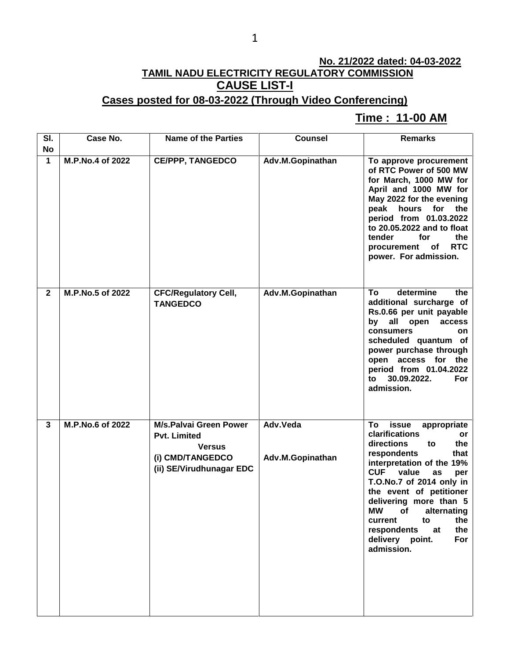## **No. 21/2022 dated: 04-03-2022 TAMIL NADU ELECTRICITY REGULATORY COMMISSION CAUSE LIST-I**

#### **Cases posted for 08-03-2022 (Through Video Conferencing)**

#### **Time : 11-00 AM[**

| SI.<br><b>No</b> | Case No.         | <b>Name of the Parties</b>                                                                                            | <b>Counsel</b>               | <b>Remarks</b>                                                                                                                                                                                                                                                                                                                                                                       |
|------------------|------------------|-----------------------------------------------------------------------------------------------------------------------|------------------------------|--------------------------------------------------------------------------------------------------------------------------------------------------------------------------------------------------------------------------------------------------------------------------------------------------------------------------------------------------------------------------------------|
| 1                | M.P.No.4 of 2022 | <b>CE/PPP, TANGEDCO</b>                                                                                               | Adv.M.Gopinathan             | To approve procurement<br>of RTC Power of 500 MW<br>for March, 1000 MW for<br>April and 1000 MW for<br>May 2022 for the evening<br>peak hours for<br>the<br>period from 01.03.2022<br>to 20.05.2022 and to float<br>tender<br>for<br>the<br><b>RTC</b><br>procurement<br>оf<br>power. For admission.                                                                                 |
| $\mathbf{2}$     | M.P.No.5 of 2022 | <b>CFC/Regulatory Cell,</b><br><b>TANGEDCO</b>                                                                        | Adv.M.Gopinathan             | determine<br>the<br>To<br>additional surcharge of<br>Rs.0.66 per unit payable<br>all open<br>by<br>access<br><b>consumers</b><br>on<br>scheduled quantum of<br>power purchase through<br>open access for the<br>period from 01.04.2022<br>30.09.2022.<br>to<br>For<br>admission.                                                                                                     |
| 3                | M.P.No.6 of 2022 | <b>M/s.Palvai Green Power</b><br><b>Pvt. Limited</b><br><b>Versus</b><br>(i) CMD/TANGEDCO<br>(ii) SE/Virudhunagar EDC | Adv.Veda<br>Adv.M.Gopinathan | To<br>issue<br>appropriate<br>clarifications<br>or<br>directions<br>the<br>to<br>respondents<br>that<br>interpretation of the 19%<br><b>CUF</b><br>value<br>as<br>per<br>T.O.No.7 of 2014 only in<br>the event of petitioner<br>delivering more than 5<br><b>MW</b><br>alternating<br>of<br>to<br>current<br>the<br>respondents<br>the<br>at<br>delivery point.<br>For<br>admission. |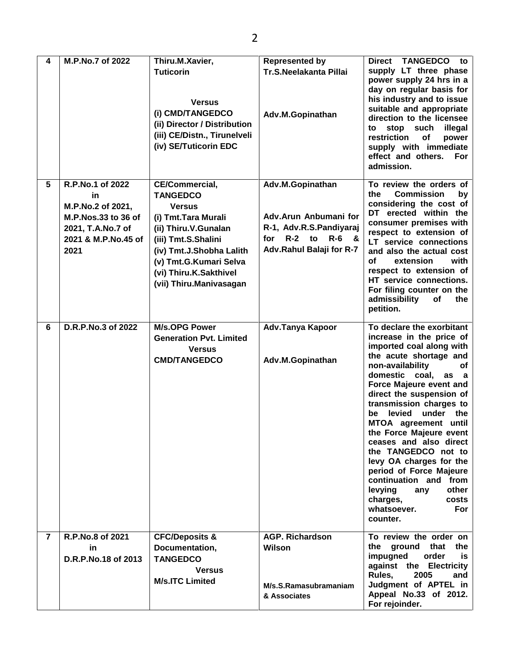| 4              | M.P.No.7 of 2022                                                                                                       | Thiru.M.Xavier,<br><b>Tuticorin</b><br><b>Versus</b><br>(i) CMD/TANGEDCO<br>(ii) Director / Distribution<br>(iii) CE/Distn., Tirunelveli<br>(iv) SE/Tuticorin EDC                                                                           | <b>Represented by</b><br>Tr.S.Neelakanta Pillai<br>Adv.M.Gopinathan                                                  | Direct TANGEDCO to<br>supply LT three phase<br>power supply 24 hrs in a<br>day on regular basis for<br>his industry and to issue<br>suitable and appropriate<br>direction to the licensee<br>stop such<br>illegal<br>to<br>restriction<br>of<br>power<br>supply with immediate<br>effect and others.<br>For<br>admission.                                                                                                                                                                                                                                        |
|----------------|------------------------------------------------------------------------------------------------------------------------|---------------------------------------------------------------------------------------------------------------------------------------------------------------------------------------------------------------------------------------------|----------------------------------------------------------------------------------------------------------------------|------------------------------------------------------------------------------------------------------------------------------------------------------------------------------------------------------------------------------------------------------------------------------------------------------------------------------------------------------------------------------------------------------------------------------------------------------------------------------------------------------------------------------------------------------------------|
| 5              | R.P.No.1 of 2022<br>in<br>M.P.No.2 of 2021,<br>M.P.Nos.33 to 36 of<br>2021, T.A.No.7 of<br>2021 & M.P.No.45 of<br>2021 | <b>CE/Commercial,</b><br><b>TANGEDCO</b><br><b>Versus</b><br>(i) Tmt. Tara Murali<br>(ii) Thiru.V.Gunalan<br>(iii) Tmt.S.Shalini<br>(iv) Tmt.J.Shobha Lalith<br>(v) Tmt.G.Kumari Selva<br>(vi) Thiru.K.Sakthivel<br>(vii) Thiru.Manivasagan | Adv.M.Gopinathan<br>Adv.Arun Anbumani for<br>R-1, Adv.R.S.Pandiyaraj<br>for R-2 to R-6 &<br>Adv.Rahul Balaji for R-7 | To review the orders of<br><b>Commission</b><br>the<br>by<br>considering the cost of<br>DT erected within the<br>consumer premises with<br>respect to extension of<br>LT service connections<br>and also the actual cost<br>with<br>οf<br>extension<br>respect to extension of<br>HT service connections.<br>For filing counter on the<br>admissibility<br>of<br>the<br>petition.                                                                                                                                                                                |
| 6              | D.R.P.No.3 of 2022                                                                                                     | <b>M/s.OPG Power</b><br><b>Generation Pvt. Limited</b><br><b>Versus</b><br><b>CMD/TANGEDCO</b>                                                                                                                                              | Adv.Tanya Kapoor<br>Adv.M.Gopinathan                                                                                 | To declare the exorbitant<br>increase in the price of<br>imported coal along with<br>the acute shortage and<br>non-availability<br>оf<br>coal,<br>domestic<br>as a<br>Force Majeure event and<br>direct the suspension of<br>transmission charges to<br>levied<br>under<br>the<br>be<br>MTOA agreement until<br>the Force Majeure event<br>ceases and also direct<br>the TANGEDCO not to<br>levy OA charges for the<br>period of Force Majeure<br>continuation and from<br>levying<br>other<br>any<br>charges,<br>costs<br>whatsoever.<br><b>For</b><br>counter. |
| $\overline{7}$ | R.P.No.8 of 2021<br>in<br>D.R.P.No.18 of 2013                                                                          | <b>CFC/Deposits &amp;</b><br>Documentation,<br><b>TANGEDCO</b><br><b>Versus</b><br><b>M/s.ITC Limited</b>                                                                                                                                   | <b>AGP. Richardson</b><br>Wilson<br>M/s.S.Ramasubramaniam<br>& Associates                                            | To review the order on<br>the ground<br>that<br>the<br>impugned<br>order<br>is.<br>against the Electricity<br>Rules,<br>2005<br>and<br>Judgment of APTEL in<br>Appeal No.33 of 2012.<br>For rejoinder.                                                                                                                                                                                                                                                                                                                                                           |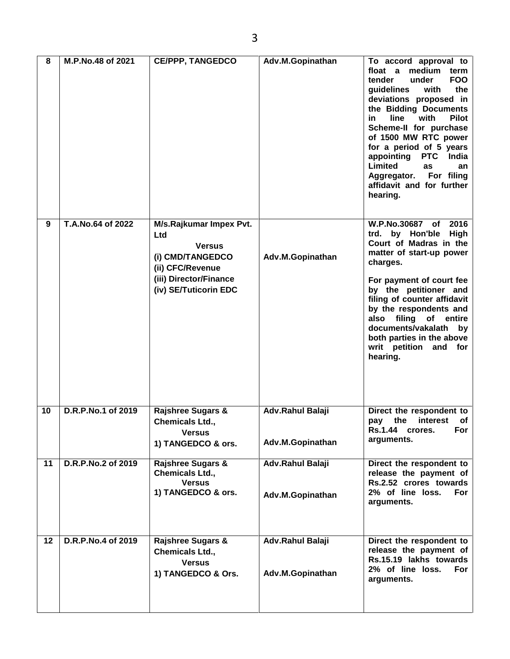| 8  | M.P.No.48 of 2021  | <b>CE/PPP, TANGEDCO</b>                                                                                                                    | Adv.M.Gopinathan                     | To accord approval to<br>medium<br>float a<br>term<br><b>FOO</b><br>tender<br>under<br>the<br>guidelines<br>with<br>deviations proposed in<br>the Bidding Documents<br>line<br>with<br><b>Pilot</b><br>in.<br>Scheme-II for purchase<br>of 1500 MW RTC power<br>for a period of 5 years<br>appointing PTC<br>India<br>Limited<br><b>as</b><br>an<br>Aggregator. For filing<br>affidavit and for further<br>hearing. |
|----|--------------------|--------------------------------------------------------------------------------------------------------------------------------------------|--------------------------------------|---------------------------------------------------------------------------------------------------------------------------------------------------------------------------------------------------------------------------------------------------------------------------------------------------------------------------------------------------------------------------------------------------------------------|
| 9  | T.A.No.64 of 2022  | M/s.Rajkumar Impex Pvt.<br>Ltd<br><b>Versus</b><br>(i) CMD/TANGEDCO<br>(ii) CFC/Revenue<br>(iii) Director/Finance<br>(iv) SE/Tuticorin EDC | Adv.M.Gopinathan                     | W.P.No.30687 of<br>2016<br>trd. by Hon'ble<br><b>High</b><br>Court of Madras in the<br>matter of start-up power<br>charges.<br>For payment of court fee<br>by the petitioner and<br>filing of counter affidavit<br>by the respondents and<br>filing<br>also<br>of entire<br>documents/vakalath<br>by<br>both parties in the above<br>writ petition and for<br>hearing.                                              |
| 10 | D.R.P.No.1 of 2019 | <b>Rajshree Sugars &amp;</b><br>Chemicals Ltd.,<br><b>Versus</b><br>1) TANGEDCO & ors.                                                     | Adv.Rahul Balaji<br>Adv.M.Gopinathan | Direct the respondent to<br>the<br>interest<br>of<br>pay<br><b>Rs.1.44</b><br>For<br>crores.<br>arguments.                                                                                                                                                                                                                                                                                                          |
| 11 | D.R.P.No.2 of 2019 | <b>Rajshree Sugars &amp;</b><br><b>Chemicals Ltd.,</b><br><b>Versus</b><br>1) TANGEDCO & ors.                                              | Adv.Rahul Balaji<br>Adv.M.Gopinathan | Direct the respondent to<br>release the payment of<br>Rs.2.52 crores towards<br>2% of line loss.<br>For<br>arguments.                                                                                                                                                                                                                                                                                               |
| 12 | D.R.P.No.4 of 2019 | <b>Rajshree Sugars &amp;</b><br>Chemicals Ltd.,<br><b>Versus</b><br>1) TANGEDCO & Ors.                                                     | Adv.Rahul Balaji<br>Adv.M.Gopinathan | Direct the respondent to<br>release the payment of<br>Rs.15.19 lakhs towards<br>2% of line loss.<br>For<br>arguments.                                                                                                                                                                                                                                                                                               |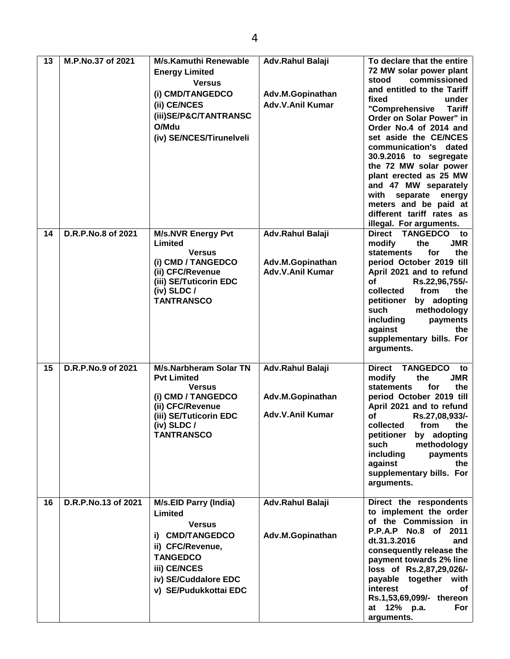| 13 | M.P.No.37 of 2021   | <b>M/s.Kamuthi Renewable</b><br><b>Energy Limited</b><br><b>Versus</b><br>(i) CMD/TANGEDCO<br>(ii) CE/NCES<br>(iii)SE/P&C/TANTRANSC<br>O/Mdu<br>(iv) SE/NCES/Tirunelveli            | Adv.Rahul Balaji<br>Adv.M.Gopinathan<br>Adv.V.Anil Kumar | To declare that the entire<br>72 MW solar power plant<br>commissioned<br>stood<br>and entitled to the Tariff<br>fixed<br>under<br>"Comprehensive<br><b>Tariff</b><br>Order on Solar Power" in<br>Order No.4 of 2014 and<br>set aside the CE/NCES<br>communication's dated<br>30.9.2016 to segregate<br>the 72 MW solar power<br>plant erected as 25 MW<br>and 47 MW separately<br>with<br>separate energy<br>meters and be paid at<br>different tariff rates as<br>illegal. For arguments. |
|----|---------------------|-------------------------------------------------------------------------------------------------------------------------------------------------------------------------------------|----------------------------------------------------------|--------------------------------------------------------------------------------------------------------------------------------------------------------------------------------------------------------------------------------------------------------------------------------------------------------------------------------------------------------------------------------------------------------------------------------------------------------------------------------------------|
| 14 | D.R.P.No.8 of 2021  | <b>M/s.NVR Energy Pvt</b><br>Limited<br><b>Versus</b><br>(i) CMD / TANGEDCO<br>(ii) CFC/Revenue<br>(iii) SE/Tuticorin EDC<br>$(iv)$ SLDC /<br><b>TANTRANSCO</b>                     | Adv.Rahul Balaji<br>Adv.M.Gopinathan<br>Adv.V.Anil Kumar | Direct TANGEDCO to<br><b>JMR</b><br>modify<br>the<br><b>statements</b><br>for<br>the<br>period October 2019 till<br>April 2021 and to refund<br><b>of</b><br>Rs.22,96,755/-<br>collected<br>the<br>from<br>petitioner<br>by adopting<br>methodology<br>such<br>including<br>payments<br>against<br>the<br>supplementary bills. For<br>arguments.                                                                                                                                           |
| 15 | D.R.P.No.9 of 2021  | <b>M/s.Narbheram Solar TN</b><br><b>Pvt Limited</b><br><b>Versus</b><br>(i) CMD / TANGEDCO<br>(ii) CFC/Revenue<br>(iii) SE/Tuticorin EDC<br>(iv) SLDC /<br><b>TANTRANSCO</b>        | Adv.Rahul Balaji<br>Adv.M.Gopinathan<br>Adv.V.Anil Kumar | TANGEDCO to<br><b>Direct</b><br><b>JMR</b><br>modify<br>the<br><b>statements</b><br>for<br>the<br>period October 2019 till<br>April 2021 and to refund<br>οf<br>Rs.27,08,933/-<br>collected<br>from<br>the<br>petitioner<br>by adopting<br>such<br>methodology<br>including<br>payments<br>against<br>the<br>supplementary bills. For<br>arguments.                                                                                                                                        |
| 16 | D.R.P.No.13 of 2021 | <b>M/s.EID Parry (India)</b><br>Limited<br><b>Versus</b><br>i) CMD/TANGEDCO<br>ii) CFC/Revenue,<br><b>TANGEDCO</b><br>iii) CE/NCES<br>iv) SE/Cuddalore EDC<br>v) SE/Pudukkottai EDC | Adv.Rahul Balaji<br>Adv.M.Gopinathan                     | Direct the respondents<br>to implement the order<br>of the Commission in<br>P.P.A.P No.8 of 2011<br>dt.31.3.2016<br>and<br>consequently release the<br>payment towards 2% line<br>loss of Rs.2,87,29,026/-<br>payable together with<br>interest<br>of<br>Rs.1,53,69,099/- thereon<br>at 12% p.a.<br>For<br>arguments.                                                                                                                                                                      |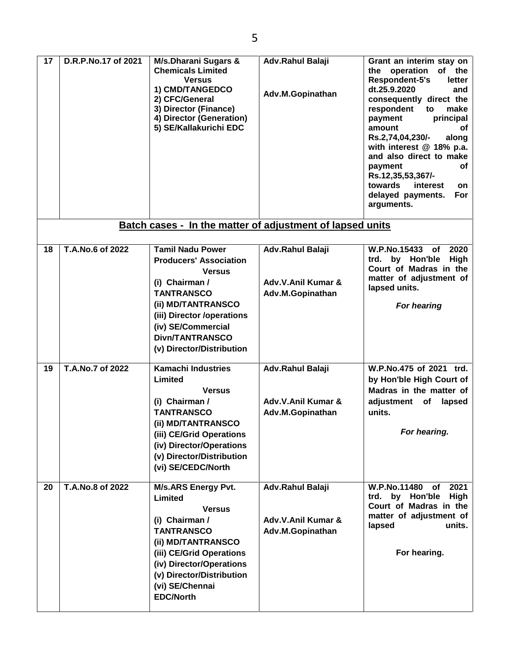| 17 | D.R.P.No.17 of 2021 | <b>M/s.Dharani Sugars &amp;</b><br><b>Chemicals Limited</b><br><b>Versus</b><br>1) CMD/TANGEDCO<br>2) CFC/General<br>3) Director (Finance)<br>4) Director (Generation)<br>5) SE/Kallakurichi EDC                                                  | Adv.Rahul Balaji<br>Adv.M.Gopinathan                       | Grant an interim stay on<br>the operation<br>of the<br>Respondent-5's<br>letter<br>dt.25.9.2020<br>and<br>consequently direct the<br>respondent<br>make<br>to<br>principal<br>payment<br>amount<br>оf<br>Rs.2,74,04,230/-<br>along<br>with interest @ 18% p.a.<br>and also direct to make<br>payment<br>оf<br>Rs.12,35,53,367/-<br>towards<br>interest<br>on<br>delayed payments.<br>For<br>arguments. |
|----|---------------------|---------------------------------------------------------------------------------------------------------------------------------------------------------------------------------------------------------------------------------------------------|------------------------------------------------------------|--------------------------------------------------------------------------------------------------------------------------------------------------------------------------------------------------------------------------------------------------------------------------------------------------------------------------------------------------------------------------------------------------------|
|    |                     | Batch cases - In the matter of adjustment of lapsed units                                                                                                                                                                                         |                                                            |                                                                                                                                                                                                                                                                                                                                                                                                        |
| 18 | T.A.No.6 of 2022    | <b>Tamil Nadu Power</b><br><b>Producers' Association</b><br><b>Versus</b><br>(i) Chairman /<br><b>TANTRANSCO</b><br>(ii) MD/TANTRANSCO<br>(iii) Director /operations<br>(iv) SE/Commercial<br><b>Divn/TANTRANSCO</b><br>(v) Director/Distribution | Adv.Rahul Balaji<br>Adv.V.Anil Kumar &<br>Adv.M.Gopinathan | <b>W.P.No.15433</b><br>2020<br>of<br>by Hon'ble<br><b>High</b><br>trd.<br>Court of Madras in the<br>matter of adjustment of<br>lapsed units.<br>For hearing                                                                                                                                                                                                                                            |
| 19 | T.A.No.7 of 2022    | <b>Kamachi Industries</b><br>Limited<br><b>Versus</b><br>(i) Chairman /<br><b>TANTRANSCO</b><br>(ii) MD/TANTRANSCO<br>(iii) CE/Grid Operations<br>(iv) Director/Operations<br>(v) Director/Distribution<br>(vi) SE/CEDC/North                     | Adv.Rahul Balaji<br>Adv.V.Anil Kumar &<br>Adv.M.Gopinathan | W.P.No.475 of 2021 trd.<br>by Hon'ble High Court of<br>Madras in the matter of<br>adjustment of<br>lapsed<br>units.<br>For hearing.                                                                                                                                                                                                                                                                    |
| 20 | T.A.No.8 of 2022    | <b>M/s.ARS Energy Pvt.</b><br>Limited<br><b>Versus</b><br>(i) Chairman /<br><b>TANTRANSCO</b><br>(ii) MD/TANTRANSCO<br>(iii) CE/Grid Operations<br>(iv) Director/Operations<br>(v) Director/Distribution<br>(vi) SE/Chennai<br><b>EDC/North</b>   | Adv.Rahul Balaji<br>Adv.V.Anil Kumar &<br>Adv.M.Gopinathan | <b>W.P.No.11480</b><br>of 2021<br>trd. by Hon'ble<br>High<br>Court of Madras in the<br>matter of adjustment of<br>lapsed<br>units.<br>For hearing.                                                                                                                                                                                                                                                     |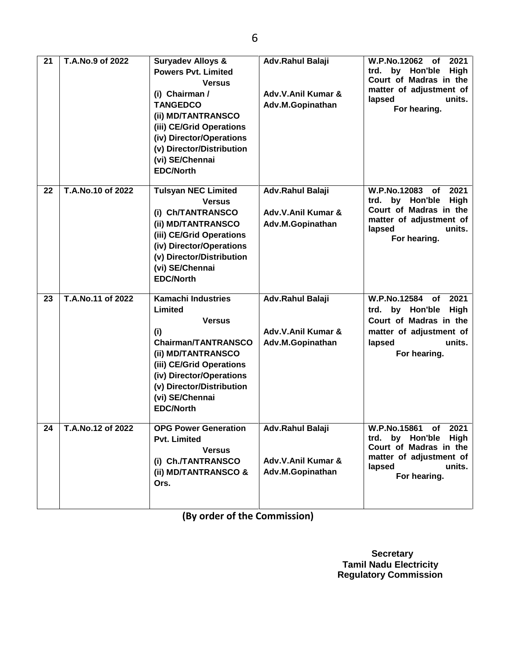| 21              | T.A.No.9 of 2022  | <b>Suryadev Alloys &amp;</b><br><b>Powers Pvt. Limited</b><br><b>Versus</b><br>(i) Chairman /<br><b>TANGEDCO</b><br>(ii) MD/TANTRANSCO<br>(iii) CE/Grid Operations<br>(iv) Director/Operations<br>(v) Director/Distribution<br>(vi) SE/Chennai<br><b>EDC/North</b> | Adv.Rahul Balaji<br>Adv.V.Anil Kumar &<br>Adv.M.Gopinathan | W.P.No.12062<br>2021<br>оf<br>by Hon'ble<br><b>High</b><br>trd.<br>Court of Madras in the<br>matter of adjustment of<br>units.<br>lapsed<br>For hearing. |
|-----------------|-------------------|--------------------------------------------------------------------------------------------------------------------------------------------------------------------------------------------------------------------------------------------------------------------|------------------------------------------------------------|----------------------------------------------------------------------------------------------------------------------------------------------------------|
| 22              | T.A.No.10 of 2022 | <b>Tulsyan NEC Limited</b><br><b>Versus</b><br>(i) Ch/TANTRANSCO<br>(ii) MD/TANTRANSCO<br>(iii) CE/Grid Operations<br>(iv) Director/Operations<br>(v) Director/Distribution<br>(vi) SE/Chennai<br><b>EDC/North</b>                                                 | Adv.Rahul Balaji<br>Adv.V.Anil Kumar &<br>Adv.M.Gopinathan | W.P.No.12083<br>2021<br>оf<br>by Hon'ble<br>High<br>trd.<br>Court of Madras in the<br>matter of adjustment of<br>units.<br>lapsed<br>For hearing.        |
| 23              | T.A.No.11 of 2022 | <b>Kamachi Industries</b><br>Limited<br><b>Versus</b><br>(i)<br><b>Chairman/TANTRANSCO</b><br>(ii) MD/TANTRANSCO<br>(iii) CE/Grid Operations<br>(iv) Director/Operations<br>(v) Director/Distribution<br>(vi) SE/Chennai<br><b>EDC/North</b>                       | Adv.Rahul Balaji<br>Adv.V.Anil Kumar &<br>Adv.M.Gopinathan | W.P.No.12584<br>2021<br>of<br>trd. by Hon'ble<br><b>High</b><br>Court of Madras in the<br>matter of adjustment of<br>units.<br>lapsed<br>For hearing.    |
| $\overline{24}$ | T.A.No.12 of 2022 | <b>OPG Power Generation</b><br><b>Pvt. Limited</b><br><b>Versus</b><br>(i) Ch./TANTRANSCO<br>(ii) MD/TANTRANSCO &<br>Ors.                                                                                                                                          | Adv.Rahul Balaji<br>Adv.V.Anil Kumar &<br>Adv.M.Gopinathan | W.P.No.15861 of 2021<br>trd. by Hon'ble High<br>Court of Madras in the<br>matter of adjustment of<br>lapsed<br>units.<br>For hearing.                    |

**(By order of the Commission)**

 **Secretary Tamil Nadu Electricity Regulatory Commission**